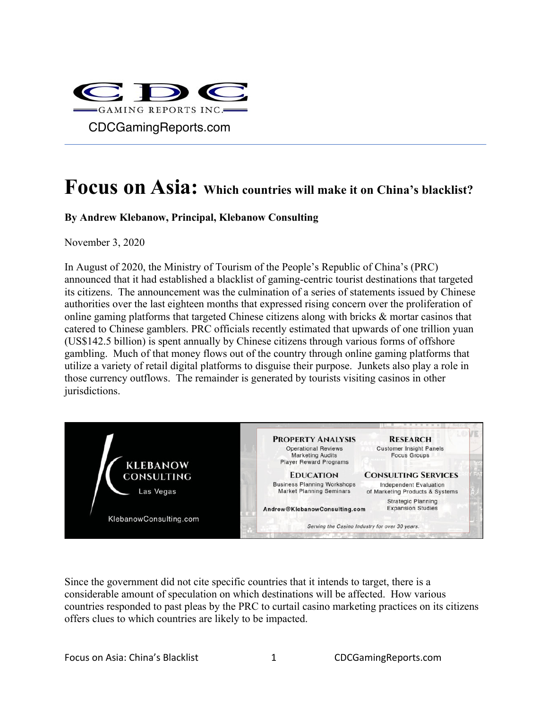

# **Focus on Asia: Which countries will make it on China's blacklist?**

**By Andrew Klebanow, Principal, Klebanow Consulting**

November 3,  $2020$ 

In August of 2020, the Ministry of Tourism of the People's Republic of China's (PRC) announced that it had established a blacklist of gaming-centric tourist destinations that targeted its citizens. The announcement was the culmination of a series of statements issued by Chinese authorities over the last eighteen months that expressed rising concern over the proliferation of online gaming platforms that targeted Chinese citizens along with bricks  $\&$  mortar casinos that catered to Chinese gamblers. PRC officials recently estimated that upwards of one trillion yuan (US\$142.5 billion) is spent annually by Chinese citizens through various forms of offshore gambling. Much of that money flows out of the country through online gaming platforms that utilize a variety of retail digital platforms to disguise their purpose. Junkets also play a role in those currency outflows. The remainder is generated by tourists visiting casinos in other jurisdictions.



Since the government did not cite specific countries that it intends to target, there is a considerable amount of speculation on which destinations will be affected. How various countries responded to past pleas by the PRC to curtail casino marketing practices on its citizens offers clues to which countries are likely to be impacted.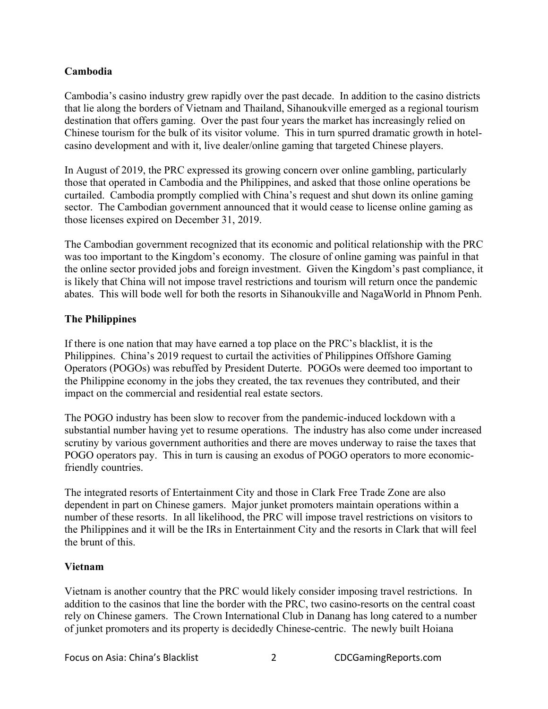# **Cambodia**

Cambodia's casino industry grew rapidly over the past decade. In addition to the casino districts that lie along the borders of Vietnam and Thailand, Sihanoukville emerged as a regional tourism destination that offers gaming. Over the past four years the market has increasingly relied on Chinese tourism for the bulk of its visitor volume. This in turn spurred dramatic growth in hotelcasino development and with it, live dealer/online gaming that targeted Chinese players.

In August of 2019, the PRC expressed its growing concern over online gambling, particularly those that operated in Cambodia and the Philippines, and asked that those online operations be curtailed. Cambodia promptly complied with China's request and shut down its online gaming sector. The Cambodian government announced that it would cease to license online gaming as those licenses expired on December 31, 2019.

The Cambodian government recognized that its economic and political relationship with the PRC was too important to the Kingdom's economy. The closure of online gaming was painful in that the online sector provided jobs and foreign investment. Given the Kingdom's past compliance, it is likely that China will not impose travel restrictions and tourism will return once the pandemic abates. This will bode well for both the resorts in Sihanoukville and NagaWorld in Phnom Penh.

# **The Philippines**

If there is one nation that may have earned a top place on the PRC's blacklist, it is the Philippines. China's 2019 request to curtail the activities of Philippines Offshore Gaming Operators (POGOs) was rebuffed by President Duterte. POGOs were deemed too important to the Philippine economy in the jobs they created, the tax revenues they contributed, and their impact on the commercial and residential real estate sectors.

The POGO industry has been slow to recover from the pandemic-induced lockdown with a substantial number having yet to resume operations. The industry has also come under increased scrutiny by various government authorities and there are moves underway to raise the taxes that POGO operators pay. This in turn is causing an exodus of POGO operators to more economicfriendly countries.

The integrated resorts of Entertainment City and those in Clark Free Trade Zone are also dependent in part on Chinese gamers. Major junket promoters maintain operations within a number of these resorts. In all likelihood, the PRC will impose travel restrictions on visitors to the Philippines and it will be the IRs in Entertainment City and the resorts in Clark that will feel the brunt of this.

# **Vietnam**

Vietnam is another country that the PRC would likely consider imposing travel restrictions. In addition to the casinos that line the border with the PRC, two casino-resorts on the central coast rely on Chinese gamers. The Crown International Club in Danang has long catered to a number of junket promoters and its property is decidedly Chinese-centric. The newly built Hoiana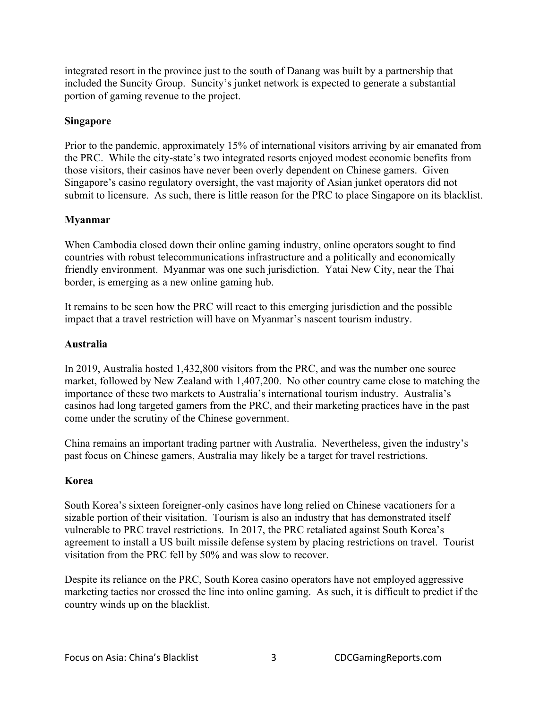integrated resort in the province just to the south of Danang was built by a partnership that included the Suncity Group. Suncity's junket network is expected to generate a substantial portion of gaming revenue to the project.

## **Singapore**

Prior to the pandemic, approximately 15% of international visitors arriving by air emanated from the PRC. While the city-state's two integrated resorts enjoyed modest economic benefits from those visitors, their casinos have never been overly dependent on Chinese gamers. Given Singapore's casino regulatory oversight, the vast majority of Asian junket operators did not submit to licensure. As such, there is little reason for the PRC to place Singapore on its blacklist.

### **Myanmar**

When Cambodia closed down their online gaming industry, online operators sought to find countries with robust telecommunications infrastructure and a politically and economically friendly environment. Myanmar was one such jurisdiction. Yatai New City, near the Thai border, is emerging as a new online gaming hub.

It remains to be seen how the PRC will react to this emerging jurisdiction and the possible impact that a travel restriction will have on Myanmar's nascent tourism industry.

### **Australia**

In 2019, Australia hosted 1,432,800 visitors from the PRC, and was the number one source market, followed by New Zealand with 1,407,200. No other country came close to matching the importance of these two markets to Australia's international tourism industry. Australia's casinos had long targeted gamers from the PRC, and their marketing practices have in the past come under the scrutiny of the Chinese government.

China remains an important trading partner with Australia. Nevertheless, given the industry's past focus on Chinese gamers, Australia may likely be a target for travel restrictions.

#### **Korea**

South Korea's sixteen foreigner-only casinos have long relied on Chinese vacationers for a sizable portion of their visitation. Tourism is also an industry that has demonstrated itself vulnerable to PRC travel restrictions. In 2017, the PRC retaliated against South Korea's agreement to install a US built missile defense system by placing restrictions on travel. Tourist visitation from the PRC fell by 50% and was slow to recover.

Despite its reliance on the PRC, South Korea casino operators have not employed aggressive marketing tactics nor crossed the line into online gaming. As such, it is difficult to predict if the country winds up on the blacklist.